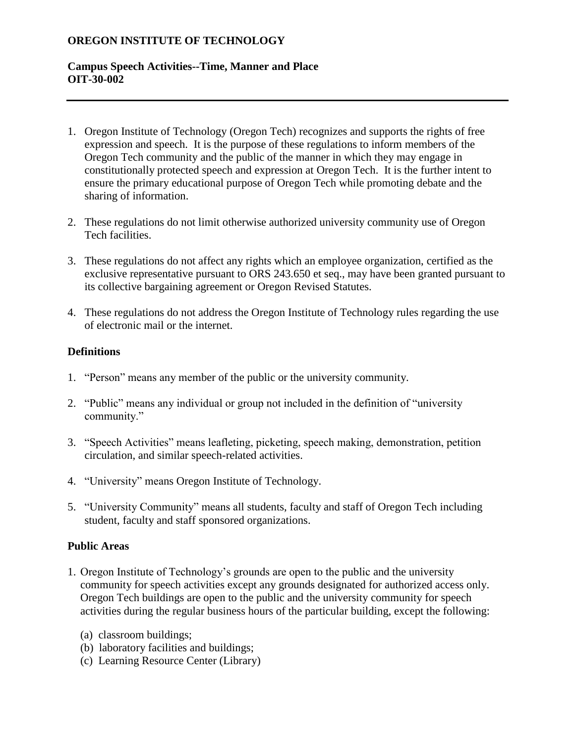# **OREGON INSTITUTE OF TECHNOLOGY**

### **Campus Speech Activities--Time, Manner and Place OIT-30-002**

- 1. Oregon Institute of Technology (Oregon Tech) recognizes and supports the rights of free expression and speech. It is the purpose of these regulations to inform members of the Oregon Tech community and the public of the manner in which they may engage in constitutionally protected speech and expression at Oregon Tech. It is the further intent to ensure the primary educational purpose of Oregon Tech while promoting debate and the sharing of information.
- 2. These regulations do not limit otherwise authorized university community use of Oregon Tech facilities.
- 3. These regulations do not affect any rights which an employee organization, certified as the exclusive representative pursuant to ORS 243.650 et seq., may have been granted pursuant to its collective bargaining agreement or Oregon Revised Statutes.
- 4. These regulations do not address the Oregon Institute of Technology rules regarding the use of electronic mail or the internet.

#### **Definitions**

- 1. "Person" means any member of the public or the university community.
- 2. "Public" means any individual or group not included in the definition of "university community."
- 3. "Speech Activities" means leafleting, picketing, speech making, demonstration, petition circulation, and similar speech-related activities.
- 4. "University" means Oregon Institute of Technology.
- 5. "University Community" means all students, faculty and staff of Oregon Tech including student, faculty and staff sponsored organizations.

#### **Public Areas**

- 1. Oregon Institute of Technology's grounds are open to the public and the university community for speech activities except any grounds designated for authorized access only. Oregon Tech buildings are open to the public and the university community for speech activities during the regular business hours of the particular building, except the following:
	- (a) classroom buildings;
	- (b) laboratory facilities and buildings;
	- (c) Learning Resource Center (Library)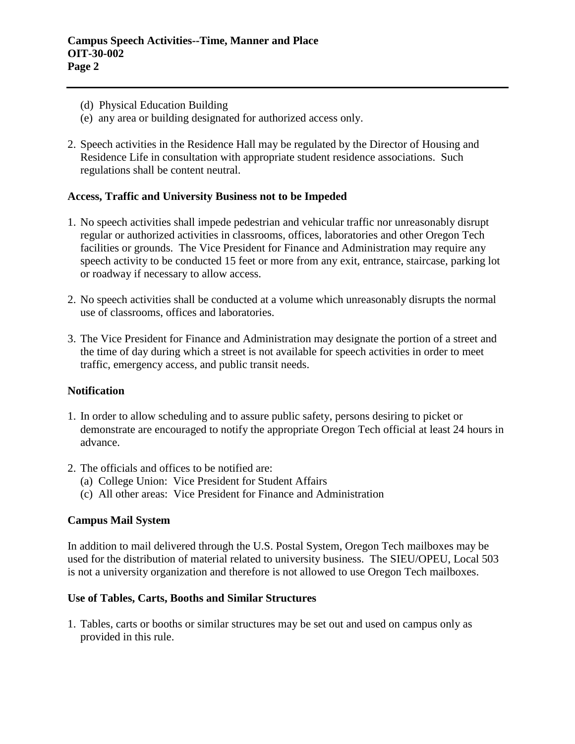- (d) Physical Education Building
- (e) any area or building designated for authorized access only.
- 2. Speech activities in the Residence Hall may be regulated by the Director of Housing and Residence Life in consultation with appropriate student residence associations. Such regulations shall be content neutral.

#### **Access, Traffic and University Business not to be Impeded**

- 1. No speech activities shall impede pedestrian and vehicular traffic nor unreasonably disrupt regular or authorized activities in classrooms, offices, laboratories and other Oregon Tech facilities or grounds. The Vice President for Finance and Administration may require any speech activity to be conducted 15 feet or more from any exit, entrance, staircase, parking lot or roadway if necessary to allow access.
- 2. No speech activities shall be conducted at a volume which unreasonably disrupts the normal use of classrooms, offices and laboratories.
- 3. The Vice President for Finance and Administration may designate the portion of a street and the time of day during which a street is not available for speech activities in order to meet traffic, emergency access, and public transit needs.

#### **Notification**

- 1. In order to allow scheduling and to assure public safety, persons desiring to picket or demonstrate are encouraged to notify the appropriate Oregon Tech official at least 24 hours in advance.
- 2. The officials and offices to be notified are:
	- (a) College Union: Vice President for Student Affairs
	- (c) All other areas: Vice President for Finance and Administration

# **Campus Mail System**

In addition to mail delivered through the U.S. Postal System, Oregon Tech mailboxes may be used for the distribution of material related to university business. The SIEU/OPEU, Local 503 is not a university organization and therefore is not allowed to use Oregon Tech mailboxes.

#### **Use of Tables, Carts, Booths and Similar Structures**

1. Tables, carts or booths or similar structures may be set out and used on campus only as provided in this rule.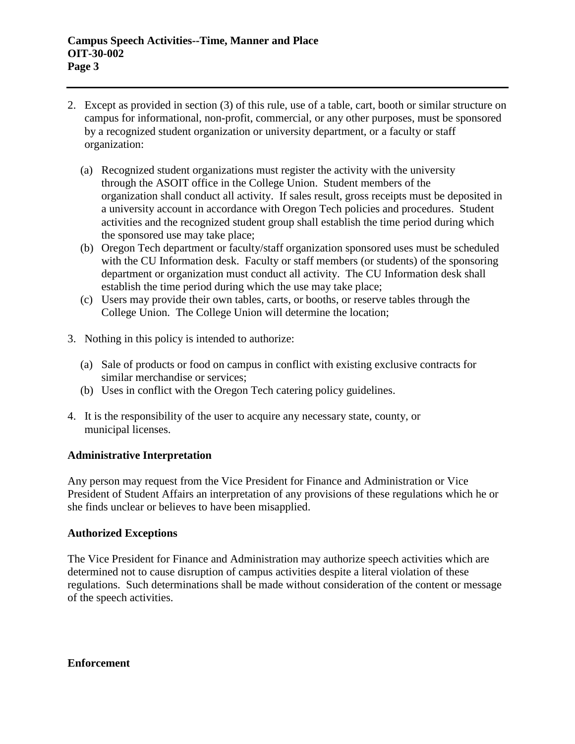- 2. Except as provided in section (3) of this rule, use of a table, cart, booth or similar structure on campus for informational, non-profit, commercial, or any other purposes, must be sponsored by a recognized student organization or university department, or a faculty or staff organization:
	- (a) Recognized student organizations must register the activity with the university through the ASOIT office in the College Union. Student members of the organization shall conduct all activity. If sales result, gross receipts must be deposited in a university account in accordance with Oregon Tech policies and procedures. Student activities and the recognized student group shall establish the time period during which the sponsored use may take place;
	- (b) Oregon Tech department or faculty/staff organization sponsored uses must be scheduled with the CU Information desk. Faculty or staff members (or students) of the sponsoring department or organization must conduct all activity. The CU Information desk shall establish the time period during which the use may take place;
	- (c) Users may provide their own tables, carts, or booths, or reserve tables through the College Union. The College Union will determine the location;
- 3. Nothing in this policy is intended to authorize:
	- (a) Sale of products or food on campus in conflict with existing exclusive contracts for similar merchandise or services;
	- (b) Uses in conflict with the Oregon Tech catering policy guidelines.
- 4. It is the responsibility of the user to acquire any necessary state, county, or municipal licenses.

#### **Administrative Interpretation**

Any person may request from the Vice President for Finance and Administration or Vice President of Student Affairs an interpretation of any provisions of these regulations which he or she finds unclear or believes to have been misapplied.

#### **Authorized Exceptions**

The Vice President for Finance and Administration may authorize speech activities which are determined not to cause disruption of campus activities despite a literal violation of these regulations. Such determinations shall be made without consideration of the content or message of the speech activities.

**Enforcement**